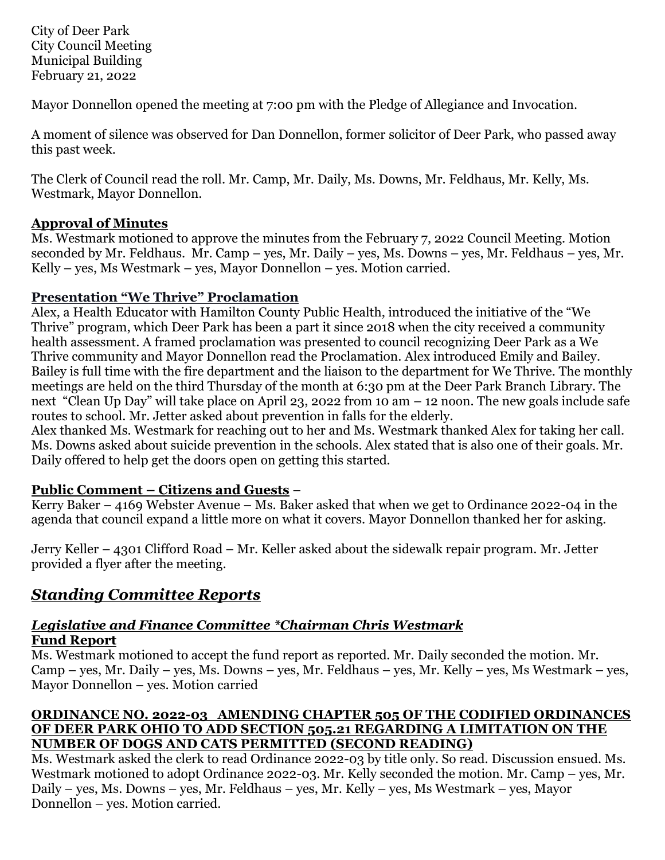City of Deer Park City Council Meeting Municipal Building February 21, 2022

Mayor Donnellon opened the meeting at 7:00 pm with the Pledge of Allegiance and Invocation.

A moment of silence was observed for Dan Donnellon, former solicitor of Deer Park, who passed away this past week.

The Clerk of Council read the roll. Mr. Camp, Mr. Daily, Ms. Downs, Mr. Feldhaus, Mr. Kelly, Ms. Westmark, Mayor Donnellon.

## **Approval of Minutes**

Ms. Westmark motioned to approve the minutes from the February 7, 2022 Council Meeting. Motion seconded by Mr. Feldhaus. Mr. Camp – yes, Mr. Daily – yes, Ms. Downs – yes, Mr. Feldhaus – yes, Mr. Kelly – yes, Ms Westmark – yes, Mayor Donnellon – yes. Motion carried.

## **Presentation "We Thrive" Proclamation**

Alex, a Health Educator with Hamilton County Public Health, introduced the initiative of the "We Thrive" program, which Deer Park has been a part it since 2018 when the city received a community health assessment. A framed proclamation was presented to council recognizing Deer Park as a We Thrive community and Mayor Donnellon read the Proclamation. Alex introduced Emily and Bailey. Bailey is full time with the fire department and the liaison to the department for We Thrive. The monthly meetings are held on the third Thursday of the month at 6:30 pm at the Deer Park Branch Library. The next "Clean Up Day" will take place on April 23, 2022 from 10 am – 12 noon. The new goals include safe routes to school. Mr. Jetter asked about prevention in falls for the elderly.

Alex thanked Ms. Westmark for reaching out to her and Ms. Westmark thanked Alex for taking her call. Ms. Downs asked about suicide prevention in the schools. Alex stated that is also one of their goals. Mr. Daily offered to help get the doors open on getting this started.

# **Public Comment – Citizens and Guests** –

Kerry Baker – 4169 Webster Avenue – Ms. Baker asked that when we get to Ordinance 2022-04 in the agenda that council expand a little more on what it covers. Mayor Donnellon thanked her for asking.

Jerry Keller – 4301 Clifford Road – Mr. Keller asked about the sidewalk repair program. Mr. Jetter provided a flyer after the meeting.

# *Standing Committee Reports*

### *Legislative and Finance Committee \*Chairman Chris Westmark* **Fund Report**

Ms. Westmark motioned to accept the fund report as reported. Mr. Daily seconded the motion. Mr. Camp – yes, Mr. Daily – yes, Ms. Downs – yes, Mr. Feldhaus – yes, Mr. Kelly – yes, Ms Westmark – yes, Mayor Donnellon – yes. Motion carried

### **ORDINANCE NO. 2022-03 AMENDING CHAPTER 505 OF THE CODIFIED ORDINANCES OF DEER PARK OHIO TO ADD SECTION 505.21 REGARDING A LIMITATION ON THE NUMBER OF DOGS AND CATS PERMITTED (SECOND READING)**

Ms. Westmark asked the clerk to read Ordinance 2022-03 by title only. So read. Discussion ensued. Ms. Westmark motioned to adopt Ordinance 2022-03. Mr. Kelly seconded the motion. Mr. Camp – yes, Mr. Daily – yes, Ms. Downs – yes, Mr. Feldhaus – yes, Mr. Kelly – yes, Ms Westmark – yes, Mayor Donnellon – yes. Motion carried.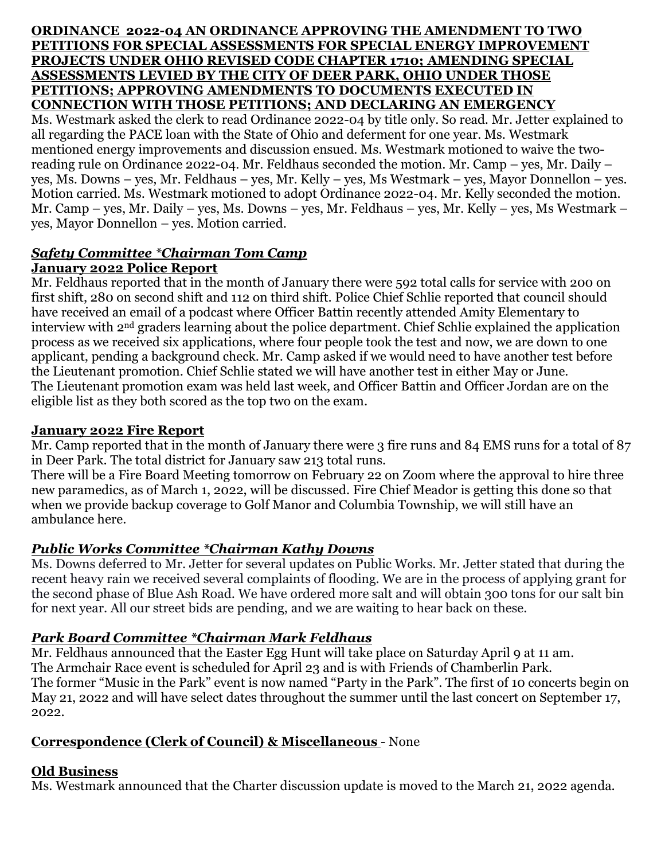#### **ORDINANCE 2022-04 AN ORDINANCE APPROVING THE AMENDMENT TO TWO PETITIONS FOR SPECIAL ASSESSMENTS FOR SPECIAL ENERGY IMPROVEMENT PROJECTS UNDER OHIO REVISED CODE CHAPTER 1710; AMENDING SPECIAL ASSESSMENTS LEVIED BY THE CITY OF DEER PARK, OHIO UNDER THOSE PETITIONS; APPROVING AMENDMENTS TO DOCUMENTS EXECUTED IN CONNECTION WITH THOSE PETITIONS; AND DECLARING AN EMERGENCY**

Ms. Westmark asked the clerk to read Ordinance 2022-04 by title only. So read. Mr. Jetter explained to all regarding the PACE loan with the State of Ohio and deferment for one year. Ms. Westmark mentioned energy improvements and discussion ensued. Ms. Westmark motioned to waive the tworeading rule on Ordinance 2022-04. Mr. Feldhaus seconded the motion. Mr. Camp – yes, Mr. Daily – yes, Ms. Downs – yes, Mr. Feldhaus – yes, Mr. Kelly – yes, Ms Westmark – yes, Mayor Donnellon – yes. Motion carried. Ms. Westmark motioned to adopt Ordinance 2022-04. Mr. Kelly seconded the motion. Mr. Camp – yes, Mr. Daily – yes, Ms. Downs – yes, Mr. Feldhaus – yes, Mr. Kelly – yes, Ms Westmark – yes, Mayor Donnellon – yes. Motion carried.

### *Safety Committee \*Chairman Tom Camp*  **January 2022 Police Report**

Mr. Feldhaus reported that in the month of January there were 592 total calls for service with 200 on first shift, 280 on second shift and 112 on third shift. Police Chief Schlie reported that council should have received an email of a podcast where Officer Battin recently attended Amity Elementary to interview with 2nd graders learning about the police department. Chief Schlie explained the application process as we received six applications, where four people took the test and now, we are down to one applicant, pending a background check. Mr. Camp asked if we would need to have another test before the Lieutenant promotion. Chief Schlie stated we will have another test in either May or June. The Lieutenant promotion exam was held last week, and Officer Battin and Officer Jordan are on the eligible list as they both scored as the top two on the exam.

## **January 2022 Fire Report**

Mr. Camp reported that in the month of January there were 3 fire runs and 84 EMS runs for a total of 87 in Deer Park. The total district for January saw 213 total runs.

There will be a Fire Board Meeting tomorrow on February 22 on Zoom where the approval to hire three new paramedics, as of March 1, 2022, will be discussed. Fire Chief Meador is getting this done so that when we provide backup coverage to Golf Manor and Columbia Township, we will still have an ambulance here.

# *Public Works Committee \*Chairman Kathy Downs*

Ms. Downs deferred to Mr. Jetter for several updates on Public Works. Mr. Jetter stated that during the recent heavy rain we received several complaints of flooding. We are in the process of applying grant for the second phase of Blue Ash Road. We have ordered more salt and will obtain 300 tons for our salt bin for next year. All our street bids are pending, and we are waiting to hear back on these.

# *Park Board Committee \*Chairman Mark Feldhaus*

Mr. Feldhaus announced that the Easter Egg Hunt will take place on Saturday April 9 at 11 am. The Armchair Race event is scheduled for April 23 and is with Friends of Chamberlin Park. The former "Music in the Park" event is now named "Party in the Park". The first of 10 concerts begin on May 21, 2022 and will have select dates throughout the summer until the last concert on September 17, 2022.

# **Correspondence (Clerk of Council) & Miscellaneous** - None

# **Old Business**

Ms. Westmark announced that the Charter discussion update is moved to the March 21, 2022 agenda.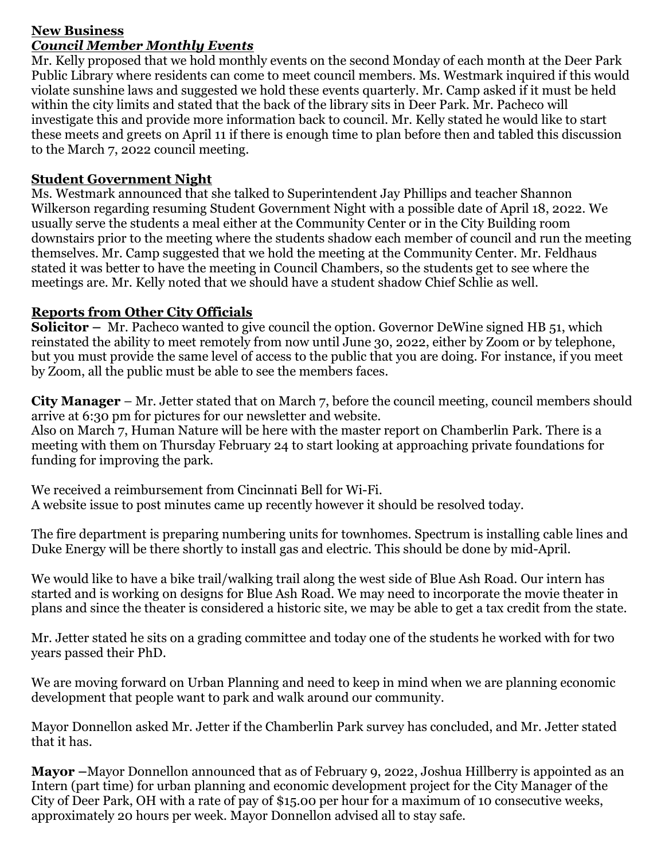### **New Business** *Council Member Monthly Events*

Mr. Kelly proposed that we hold monthly events on the second Monday of each month at the Deer Park Public Library where residents can come to meet council members. Ms. Westmark inquired if this would violate sunshine laws and suggested we hold these events quarterly. Mr. Camp asked if it must be held within the city limits and stated that the back of the library sits in Deer Park. Mr. Pacheco will investigate this and provide more information back to council. Mr. Kelly stated he would like to start these meets and greets on April 11 if there is enough time to plan before then and tabled this discussion to the March 7, 2022 council meeting.

## **Student Government Night**

Ms. Westmark announced that she talked to Superintendent Jay Phillips and teacher Shannon Wilkerson regarding resuming Student Government Night with a possible date of April 18, 2022. We usually serve the students a meal either at the Community Center or in the City Building room downstairs prior to the meeting where the students shadow each member of council and run the meeting themselves. Mr. Camp suggested that we hold the meeting at the Community Center. Mr. Feldhaus stated it was better to have the meeting in Council Chambers, so the students get to see where the meetings are. Mr. Kelly noted that we should have a student shadow Chief Schlie as well.

## **Reports from Other City Officials**

**Solicitor** – Mr. Pacheco wanted to give council the option. Governor DeWine signed HB 51, which reinstated the ability to meet remotely from now until June 30, 2022, either by Zoom or by telephone, but you must provide the same level of access to the public that you are doing. For instance, if you meet by Zoom, all the public must be able to see the members faces.

**City Manager** – Mr. Jetter stated that on March 7, before the council meeting, council members should arrive at 6:30 pm for pictures for our newsletter and website.

Also on March 7, Human Nature will be here with the master report on Chamberlin Park. There is a meeting with them on Thursday February 24 to start looking at approaching private foundations for funding for improving the park.

We received a reimbursement from Cincinnati Bell for Wi-Fi. A website issue to post minutes came up recently however it should be resolved today.

The fire department is preparing numbering units for townhomes. Spectrum is installing cable lines and Duke Energy will be there shortly to install gas and electric. This should be done by mid-April.

We would like to have a bike trail/walking trail along the west side of Blue Ash Road. Our intern has started and is working on designs for Blue Ash Road. We may need to incorporate the movie theater in plans and since the theater is considered a historic site, we may be able to get a tax credit from the state.

Mr. Jetter stated he sits on a grading committee and today one of the students he worked with for two years passed their PhD.

We are moving forward on Urban Planning and need to keep in mind when we are planning economic development that people want to park and walk around our community.

Mayor Donnellon asked Mr. Jetter if the Chamberlin Park survey has concluded, and Mr. Jetter stated that it has.

**Mayor –**Mayor Donnellon announced that as of February 9, 2022, Joshua Hillberry is appointed as an Intern (part time) for urban planning and economic development project for the City Manager of the City of Deer Park, OH with a rate of pay of \$15.00 per hour for a maximum of 10 consecutive weeks, approximately 20 hours per week. Mayor Donnellon advised all to stay safe.